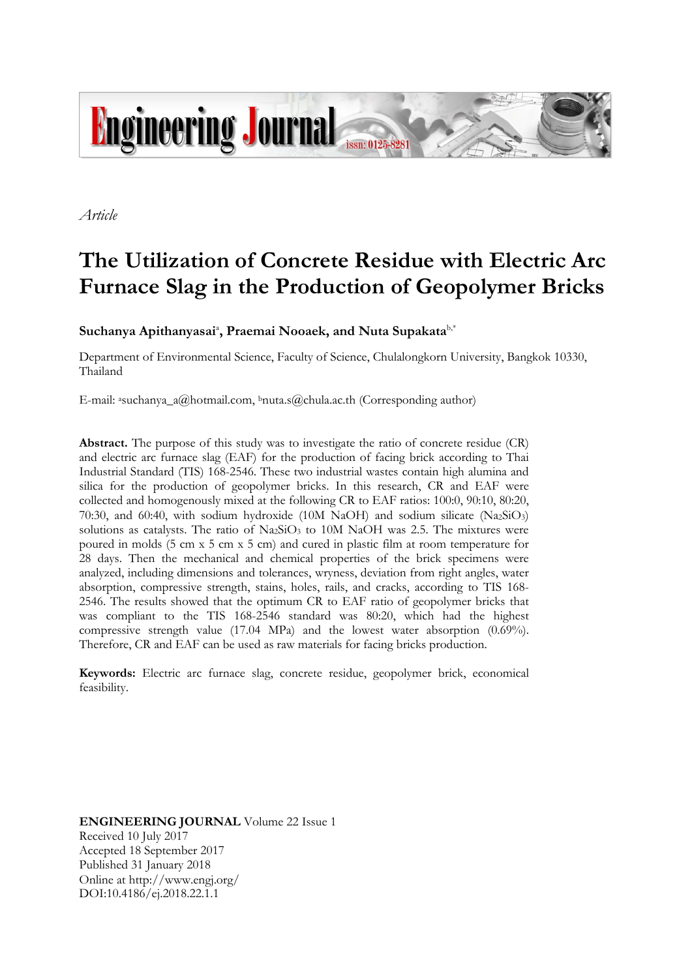

*Article*

# **The Utilization of Concrete Residue with Electric Arc Furnace Slag in the Production of Geopolymer Bricks**

 $\mathbf{Suchanya \ Apithanyasai}$ <sup>3</sup>, Praemai Nooaek, and Nuta Supakata<sup>b,\*</sup>

Department of Environmental Science, Faculty of Science, Chulalongkorn University, Bangkok 10330, Thailand

E-mail: <sup>a</sup>suchanya\_a@hotmail.com, <sup>b</sup>nuta.s@chula.ac.th (Corresponding author)

**Abstract.** The purpose of this study was to investigate the ratio of concrete residue (CR) and electric arc furnace slag (EAF) for the production of facing brick according to Thai Industrial Standard (TIS) 168-2546. These two industrial wastes contain high alumina and silica for the production of geopolymer bricks. In this research, CR and EAF were collected and homogenously mixed at the following CR to EAF ratios: 100:0, 90:10, 80:20, 70:30, and 60:40, with sodium hydroxide (10M NaOH) and sodium silicate  $(Na_2SiO_3)$ solutions as catalysts. The ratio of  $Na<sub>2</sub>SiO<sub>3</sub>$  to 10M NaOH was 2.5. The mixtures were poured in molds (5 cm x 5 cm x 5 cm) and cured in plastic film at room temperature for 28 days. Then the mechanical and chemical properties of the brick specimens were analyzed, including dimensions and tolerances, wryness, deviation from right angles, water absorption, compressive strength, stains, holes, rails, and cracks, according to TIS 168- 2546. The results showed that the optimum CR to EAF ratio of geopolymer bricks that was compliant to the TIS 168-2546 standard was 80:20, which had the highest compressive strength value (17.04 MPa) and the lowest water absorption (0.69%). Therefore, CR and EAF can be used as raw materials for facing bricks production.

**Keywords:** Electric arc furnace slag, concrete residue, geopolymer brick, economical feasibility.

**ENGINEERING JOURNAL** Volume 22 Issue 1 Received 10 July 2017 Accepted 18 September 2017 Published 31 January 2018 Online at http://www.engj.org/ DOI:10.4186/ej.2018.22.1.1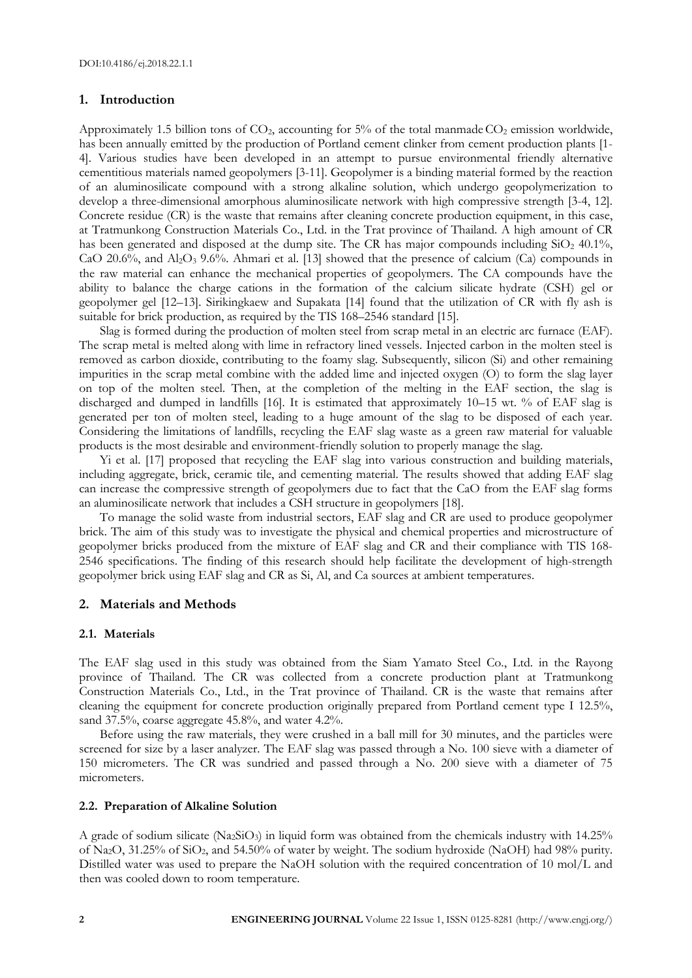#### **1. Introduction**

Approximately 1.5 billion tons of  $CO<sub>2</sub>$ , accounting for 5% of the total manmade  $CO<sub>2</sub>$  emission worldwide, has been annually emitted by the production of Portland cement clinker from cement production plants [1- 4]. Various studies have been developed in an attempt to pursue environmental friendly alternative cementitious materials named geopolymers [3-11]. Geopolymer is a binding material formed by the reaction of an aluminosilicate compound with a strong alkaline solution, which undergo geopolymerization to develop a three-dimensional amorphous aluminosilicate network with high compressive strength [3-4, 12]. Concrete residue (CR) is the waste that remains after cleaning concrete production equipment, in this case, at Tratmunkong Construction Materials Co., Ltd. in the Trat province of Thailand. A high amount of CR has been generated and disposed at the dump site. The CR has major compounds including  $SiO<sub>2</sub>$  40.1%, CaO 20.6%, and Al2O<sup>3</sup> 9.6%. Ahmari et al. [13] showed that the presence of calcium (Ca) compounds in the raw material can enhance the mechanical properties of geopolymers. The CA compounds have the ability to balance the charge cations in the formation of the calcium silicate hydrate (CSH) gel or geopolymer gel [12–13]. Sirikingkaew and Supakata [14] found that the utilization of CR with fly ash is suitable for brick production, as required by the TIS 168–2546 standard [15].

Slag is formed during the production of molten steel from scrap metal in an electric arc furnace (EAF). The scrap metal is melted along with lime in refractory lined vessels. Injected carbon in the molten steel is removed as carbon dioxide, contributing to the foamy slag. Subsequently, silicon (Si) and other remaining impurities in the scrap metal combine with the added lime and injected oxygen (O) to form the slag layer on top of the molten steel. Then, at the completion of the melting in the EAF section, the slag is discharged and dumped in landfills [16]. It is estimated that approximately 10–15 wt. % of EAF slag is generated per ton of molten steel, leading to a huge amount of the slag to be disposed of each year. Considering the limitations of landfills, recycling the EAF slag waste as a green raw material for valuable products is the most desirable and environment-friendly solution to properly manage the slag.

Yi et al. [17] proposed that recycling the EAF slag into various construction and building materials, including aggregate, brick, ceramic tile, and cementing material. The results showed that adding EAF slag can increase the compressive strength of geopolymers due to fact that the CaO from the EAF slag forms an aluminosilicate network that includes a CSH structure in geopolymers [18].

To manage the solid waste from industrial sectors, EAF slag and CR are used to produce geopolymer brick. The aim of this study was to investigate the physical and chemical properties and microstructure of geopolymer bricks produced from the mixture of EAF slag and CR and their compliance with TIS 168- 2546 specifications. The finding of this research should help facilitate the development of high-strength geopolymer brick using EAF slag and CR as Si, Al, and Ca sources at ambient temperatures.

### **2. Materials and Methods**

#### **2.1. Materials**

The EAF slag used in this study was obtained from the Siam Yamato Steel Co., Ltd. in the Rayong province of Thailand. The CR was collected from a concrete production plant at Tratmunkong Construction Materials Co., Ltd., in the Trat province of Thailand. CR is the waste that remains after cleaning the equipment for concrete production originally prepared from Portland cement type I 12.5%, sand 37.5%, coarse aggregate 45.8%, and water 4.2%.

Before using the raw materials, they were crushed in a ball mill for 30 minutes, and the particles were screened for size by a laser analyzer. The EAF slag was passed through a No. 100 sieve with a diameter of 150 micrometers. The CR was sundried and passed through a No. 200 sieve with a diameter of 75 micrometers.

#### **2.2. Preparation of Alkaline Solution**

A grade of sodium silicate  $(Na_2SiO_3)$  in liquid form was obtained from the chemicals industry with 14.25% of Na2O, 31.25% of SiO2, and 54.50% of water by weight. The sodium hydroxide (NaOH) had 98% purity. Distilled water was used to prepare the NaOH solution with the required concentration of 10 mol/L and then was cooled down to room temperature.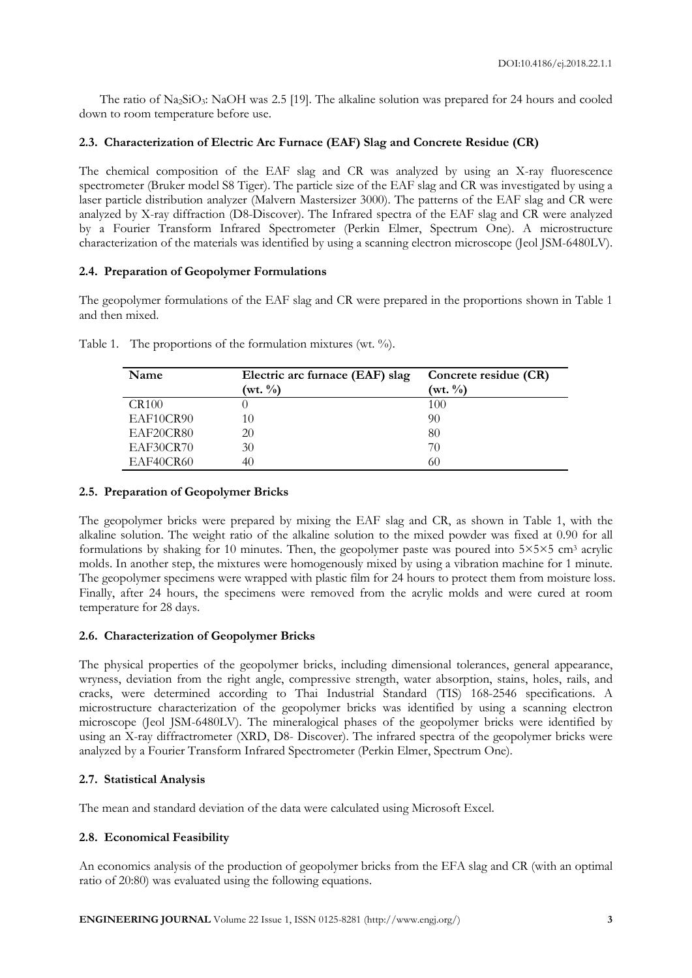The ratio of  $Na_2SiO_3$ : NaOH was 2.5 [19]. The alkaline solution was prepared for 24 hours and cooled down to room temperature before use.

# **2.3. Characterization of Electric Arc Furnace (EAF) Slag and Concrete Residue (CR)**

The chemical composition of the EAF slag and CR was analyzed by using an X-ray fluorescence spectrometer (Bruker model S8 Tiger). The particle size of the EAF slag and CR was investigated by using a laser particle distribution analyzer (Malvern Mastersizer 3000). The patterns of the EAF slag and CR were analyzed by X-ray diffraction (D8-Discover). The Infrared spectra of the EAF slag and CR were analyzed by a Fourier Transform Infrared Spectrometer (Perkin Elmer, Spectrum One). A microstructure characterization of the materials was identified by using a scanning electron microscope (Jeol JSM-6480LV).

### **2.4. Preparation of Geopolymer Formulations**

The geopolymer formulations of the EAF slag and CR were prepared in the proportions shown in Table 1 and then mixed.

| Name         | Electric arc furnace (EAF) slag | Concrete residue (CR) |  |
|--------------|---------------------------------|-----------------------|--|
|              | $(wt. \%)$                      | $(wt. \%)$            |  |
| <b>CR100</b> |                                 | 100                   |  |
| EAF10CR90    | 10                              | 90                    |  |
| EAF20CR80    | 20                              | 80                    |  |
| EAF30CR70    | 30                              | 70                    |  |
| EAF40CR60    | 40                              | 60                    |  |

Table 1. The proportions of the formulation mixtures (wt. %).

# **2.5. Preparation of Geopolymer Bricks**

The geopolymer bricks were prepared by mixing the EAF slag and CR, as shown in Table 1, with the alkaline solution. The weight ratio of the alkaline solution to the mixed powder was fixed at 0.90 for all formulations by shaking for 10 minutes. Then, the geopolymer paste was poured into  $5\times5\times5$  cm<sup>3</sup> acrylic molds. In another step, the mixtures were homogenously mixed by using a vibration machine for 1 minute. The geopolymer specimens were wrapped with plastic film for 24 hours to protect them from moisture loss. Finally, after 24 hours, the specimens were removed from the acrylic molds and were cured at room temperature for 28 days.

# **2.6. Characterization of Geopolymer Bricks**

The physical properties of the geopolymer bricks, including dimensional tolerances, general appearance, wryness, deviation from the right angle, compressive strength, water absorption, stains, holes, rails, and cracks, were determined according to Thai Industrial Standard (TIS) 168-2546 specifications. A microstructure characterization of the geopolymer bricks was identified by using a scanning electron microscope (Jeol JSM-6480LV). The mineralogical phases of the geopolymer bricks were identified by using an X-ray diffractrometer (XRD, D8- Discover). The infrared spectra of the geopolymer bricks were analyzed by a Fourier Transform Infrared Spectrometer (Perkin Elmer, Spectrum One).

# **2.7. Statistical Analysis**

The mean and standard deviation of the data were calculated using Microsoft Excel.

# **2.8. Economical Feasibility**

An economics analysis of the production of geopolymer bricks from the EFA slag and CR (with an optimal ratio of 20:80) was evaluated using the following equations.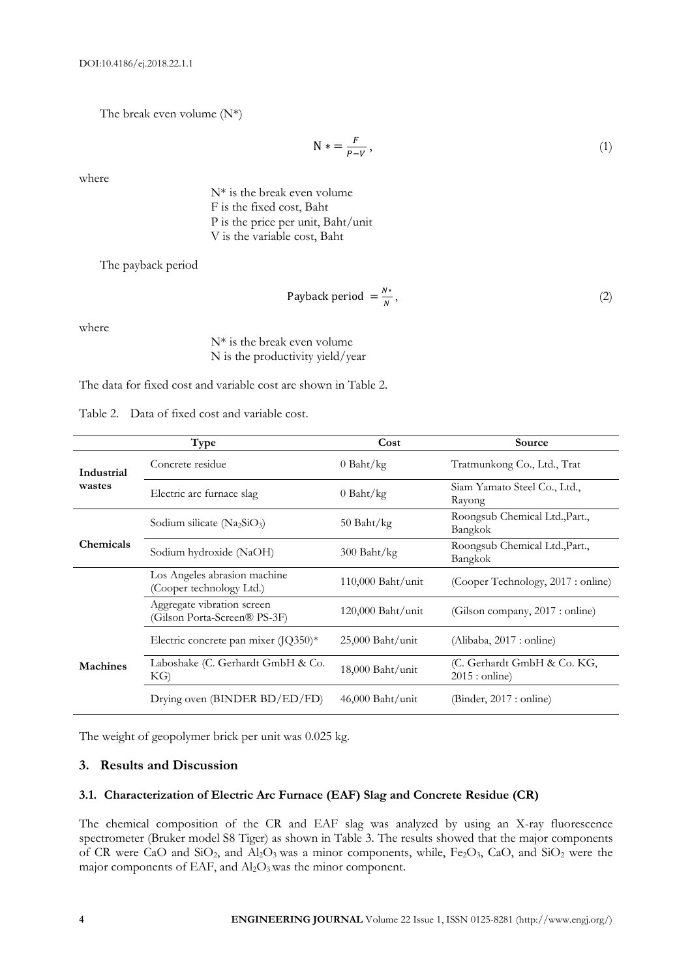The break even volume  $(N^*)$ 

$$
N \ast = \frac{F}{P - V},\tag{1}
$$

where

N\* is the break even volume F is the fixed cost, Baht P is the price per unit, Baht/unit V is the variable cost, Baht

The payback period

$$
Payback period = \frac{N^*}{N},\tag{2}
$$

where

N\* is the break even volume N is the productivity yield/year

The data for fixed cost and variable cost are shown in Table 2.

Table 2. Data of fixed cost and variable cost.

|                      | Type                                                       | Cost                | Source                                         |
|----------------------|------------------------------------------------------------|---------------------|------------------------------------------------|
| Industrial<br>wastes | Concrete residue                                           | $0$ Baht/kg         | Tratmunkong Co., Ltd., Trat                    |
|                      | Electric arc furnace slag                                  | $0$ Baht/kg         | Siam Yamato Steel Co., Ltd.,<br>Rayong         |
| Chemicals            | Sodium silicate ( $Na2SiO3$ )                              | $50$ Baht/kg        | Roongsub Chemical Ltd., Part.,<br>Bangkok      |
|                      | Sodium hydroxide (NaOH)                                    | $300$ Baht/kg       | Roongsub Chemical Ltd., Part.,<br>Bangkok      |
|                      | Los Angeles abrasion machine<br>(Cooper technology Ltd.)   | $110,000$ Baht/unit | (Cooper Technology, 2017 : online)             |
|                      | Aggregate vibration screen<br>(Gilson Porta-Screen® PS-3F) | $120,000$ Baht/unit | (Gilson company, 2017 : online)                |
| <b>Machines</b>      | Electric concrete pan mixer (JQ350)*                       | $25,000$ Baht/unit  | (Alibaba, 2017: online)                        |
|                      | Laboshake (C. Gerhardt GmbH & Co.<br>KG)                   | $18,000$ Baht/unit  | (C. Gerhardt GmbH & Co. KG,<br>$2015:$ online) |
|                      | Drying oven $(BINDER BD/ED/FD)$                            | 46,000 Baht/unit    | (Binder, 2017: online)                         |

The weight of geopolymer brick per unit was 0.025 kg.

#### **3. Results and Discussion**

#### **3.1. Characterization of Electric Arc Furnace (EAF) Slag and Concrete Residue (CR)**

The chemical composition of the CR and EAF slag was analyzed by using an X-ray fluorescence spectrometer (Bruker model S8 Tiger) as shown in Table 3. The results showed that the major components of CR were CaO and SiO<sub>2</sub>, and Al<sub>2</sub>O<sub>3</sub> was a minor components, while, Fe<sub>2</sub>O<sub>3</sub>, CaO, and SiO<sub>2</sub> were the major components of EAF, and  $\text{Al}_2\text{O}_3$  was the minor component.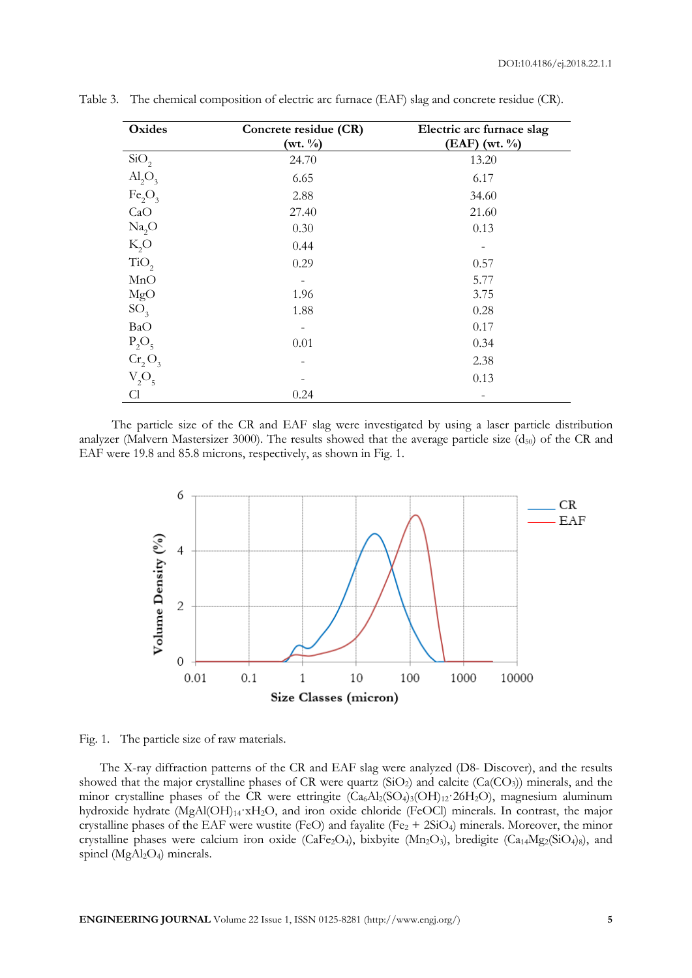| Oxides                         | Concrete residue (CR) | Electric arc furnace slag |
|--------------------------------|-----------------------|---------------------------|
|                                | $(wt. \%)$            | $(EAF)$ (wt. %)           |
| SiO <sub>2</sub>               | 24.70                 | 13.20                     |
| $\mathrm{Al}_2\mathrm{O}_3$    | 6.65                  | 6.17                      |
| Fe <sub>2</sub> O <sub>3</sub> | 2.88                  | 34.60                     |
| CaO                            | 27.40                 | 21.60                     |
| Na <sub>2</sub> O              | 0.30                  | 0.13                      |
| $K_2O$                         | 0.44                  |                           |
| TiO <sub>2</sub>               | 0.29                  | 0.57                      |
| MnO                            |                       | 5.77                      |
| MgO                            | 1.96                  | 3.75                      |
| $SO_{\rm s}$                   | 1.88                  | 0.28                      |
| BaO                            |                       | 0.17                      |
| $P_2O_5$                       | 0.01                  | 0.34                      |
| $Cr_2O_3$                      |                       | 2.38                      |
| $V_2O_5$                       |                       | 0.13                      |
| Cl                             | 0.24                  |                           |

Table 3. The chemical composition of electric arc furnace (EAF) slag and concrete residue (CR).

The particle size of the CR and EAF slag were investigated by using a laser particle distribution analyzer (Malvern Mastersizer 3000). The results showed that the average particle size  $(d_{50})$  of the CR and EAF were 19.8 and 85.8 microns, respectively, as shown in Fig. 1.



Fig. 1. The particle size of raw materials.

The X-ray diffraction patterns of the CR and EAF slag were analyzed (D8- Discover), and the results showed that the major crystalline phases of CR were quartz ( $SiO<sub>2</sub>$ ) and calcite (Ca(CO<sub>3</sub>)) minerals, and the minor crystalline phases of the CR were ettringite  $(Ca_6Al_2(SO_4)_3(OH)_{12}\text{·}26H_2O)$ , magnesium aluminum hydroxide hydrate (MgAl(OH)14·xH2O, and iron oxide chloride (FeOCl) minerals. In contrast, the major crystalline phases of the EAF were wustite (FeO) and fayalite (Fe<sub>2</sub> + 2SiO<sub>4</sub>) minerals. Moreover, the minor crystalline phases were calcium iron oxide (CaFe<sub>2</sub>O<sub>4</sub>), bixbyite (Mn<sub>2</sub>O<sub>3</sub>), bredigite (Ca<sub>14</sub>Mg<sub>2</sub>(SiO<sub>4</sub>)<sub>8</sub>), and spinel (MgAl<sub>2</sub>O<sub>4</sub>) minerals.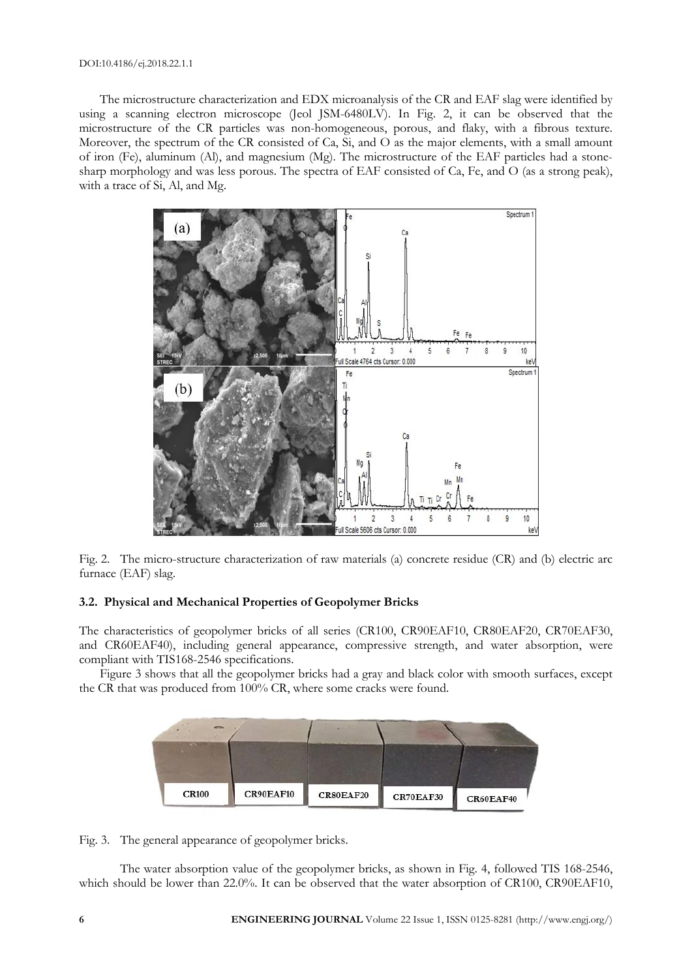#### DOI:10.4186/ej.2018.22.1.1

The microstructure characterization and EDX microanalysis of the CR and EAF slag were identified by using a scanning electron microscope (Jeol JSM-6480LV). In Fig. 2, it can be observed that the microstructure of the CR particles was non-homogeneous, porous, and flaky, with a fibrous texture. Moreover, the spectrum of the CR consisted of Ca, Si, and O as the major elements, with a small amount of iron (Fe), aluminum (Al), and magnesium (Mg). The microstructure of the EAF particles had a stonesharp morphology and was less porous. The spectra of EAF consisted of Ca, Fe, and O (as a strong peak), with a trace of Si, Al, and Mg.



Fig. 2. The micro-structure characterization of raw materials (a) concrete residue (CR) and (b) electric arc furnace (EAF) slag.

# **3.2. Physical and Mechanical Properties of Geopolymer Bricks**

The characteristics of geopolymer bricks of all series (CR100, CR90EAF10, CR80EAF20, CR70EAF30, and CR60EAF40), including general appearance, compressive strength, and water absorption, were compliant with TIS168-2546 specifications.

Figure 3 shows that all the geopolymer bricks had a gray and black color with smooth surfaces, except the CR that was produced from 100% CR, where some cracks were found.





The water absorption value of the geopolymer bricks, as shown in Fig. 4, followed TIS 168-2546, which should be lower than 22.0%. It can be observed that the water absorption of CR100, CR90EAF10,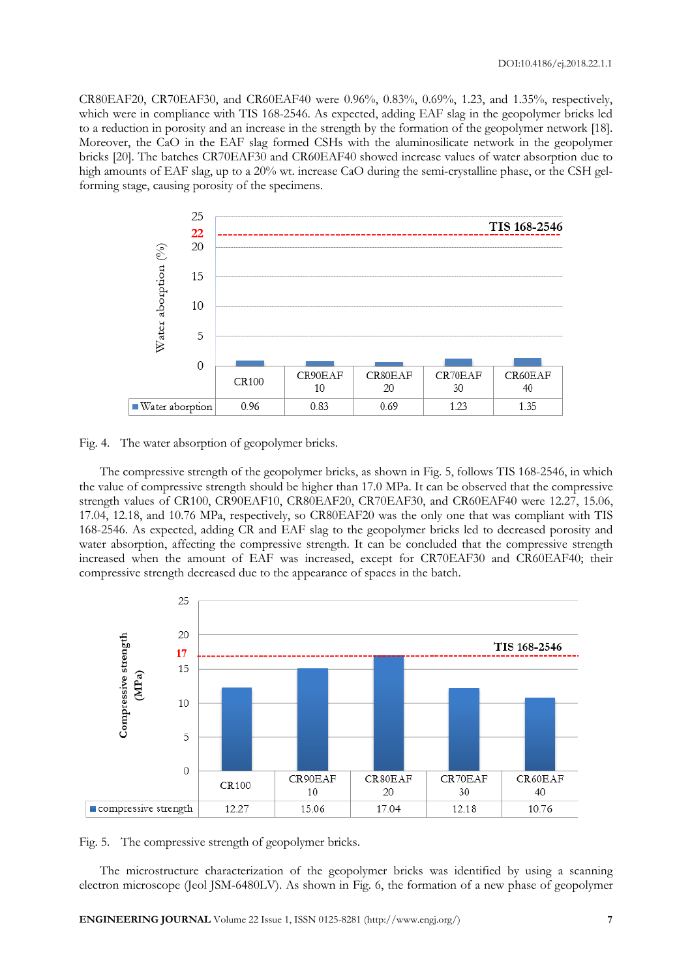CR80EAF20, CR70EAF30, and CR60EAF40 were 0.96%, 0.83%, 0.69%, 1.23, and 1.35%, respectively, which were in compliance with TIS 168-2546. As expected, adding EAF slag in the geopolymer bricks led to a reduction in porosity and an increase in the strength by the formation of the geopolymer network [18]. Moreover, the CaO in the EAF slag formed CSHs with the aluminosilicate network in the geopolymer bricks [20]. The batches CR70EAF30 and CR60EAF40 showed increase values of water absorption due to high amounts of EAF slag, up to a 20% wt. increase CaO during the semi-crystalline phase, or the CSH gelforming stage, causing porosity of the specimens.



Fig. 4. The water absorption of geopolymer bricks.

The compressive strength of the geopolymer bricks, as shown in Fig. 5, follows TIS 168-2546, in which the value of compressive strength should be higher than 17.0 MPa. It can be observed that the compressive strength values of CR100, CR90EAF10, CR80EAF20, CR70EAF30, and CR60EAF40 were 12.27, 15.06, 17.04, 12.18, and 10.76 MPa, respectively, so CR80EAF20 was the only one that was compliant with TIS 168-2546. As expected, adding CR and EAF slag to the geopolymer bricks led to decreased porosity and water absorption, affecting the compressive strength. It can be concluded that the compressive strength increased when the amount of EAF was increased, except for CR70EAF30 and CR60EAF40; their compressive strength decreased due to the appearance of spaces in the batch.



Fig. 5. The compressive strength of geopolymer bricks.

The microstructure characterization of the geopolymer bricks was identified by using a scanning electron microscope (Jeol JSM-6480LV). As shown in Fig. 6, the formation of a new phase of geopolymer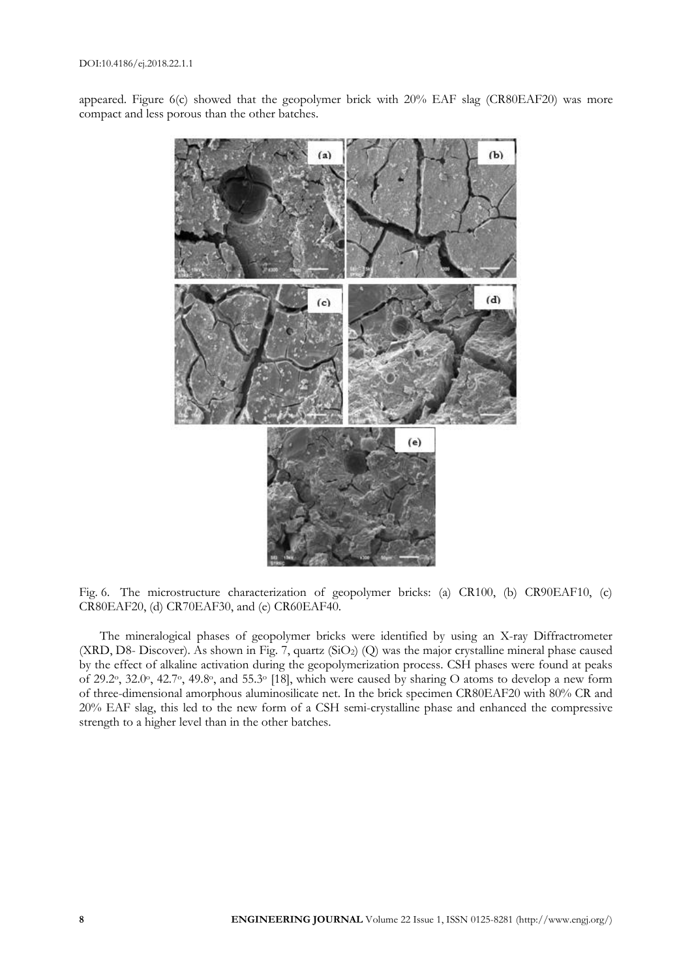appeared. Figure 6(c) showed that the geopolymer brick with 20% EAF slag (CR80EAF20) was more compact and less porous than the other batches.



Fig. 6. The microstructure characterization of geopolymer bricks: (a) CR100, (b) CR90EAF10, (c) CR80EAF20, (d) CR70EAF30, and (e) CR60EAF40.

The mineralogical phases of geopolymer bricks were identified by using an X-ray Diffractrometer (XRD, D8- Discover). As shown in Fig. 7, quartz (SiO2) (Q) was the major crystalline mineral phase caused by the effect of alkaline activation during the geopolymerization process. CSH phases were found at peaks of 29.2o, 32.0o, 42.7o, 49.8o, and 55.3<sup>o</sup> [18], which were caused by sharing O atoms to develop a new form of three-dimensional amorphous aluminosilicate net. In the brick specimen CR80EAF20 with 80% CR and 20% EAF slag, this led to the new form of a CSH semi-crystalline phase and enhanced the compressive strength to a higher level than in the other batches.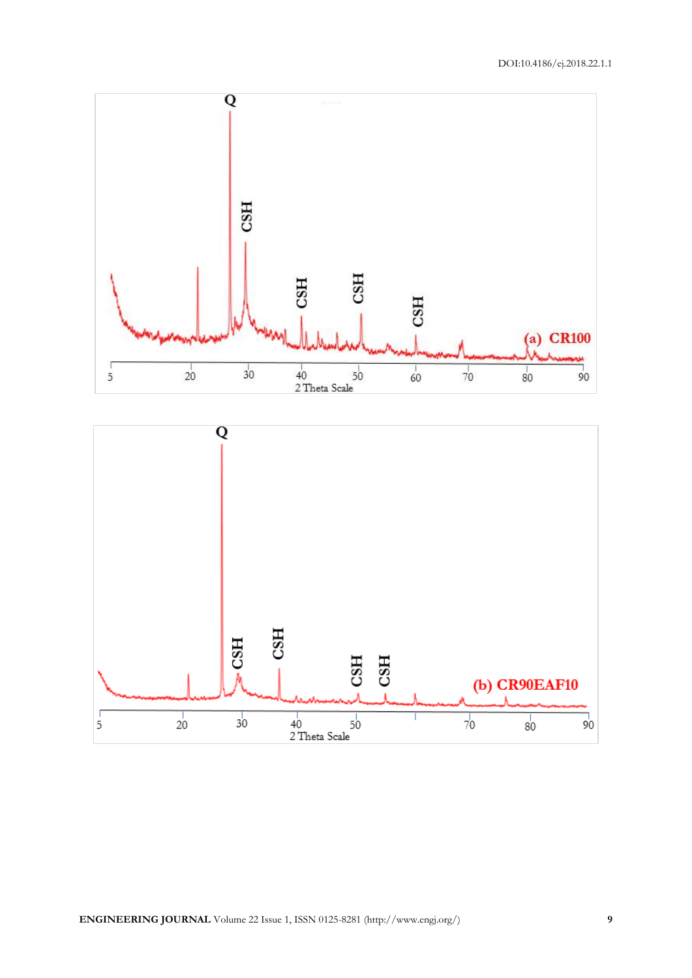

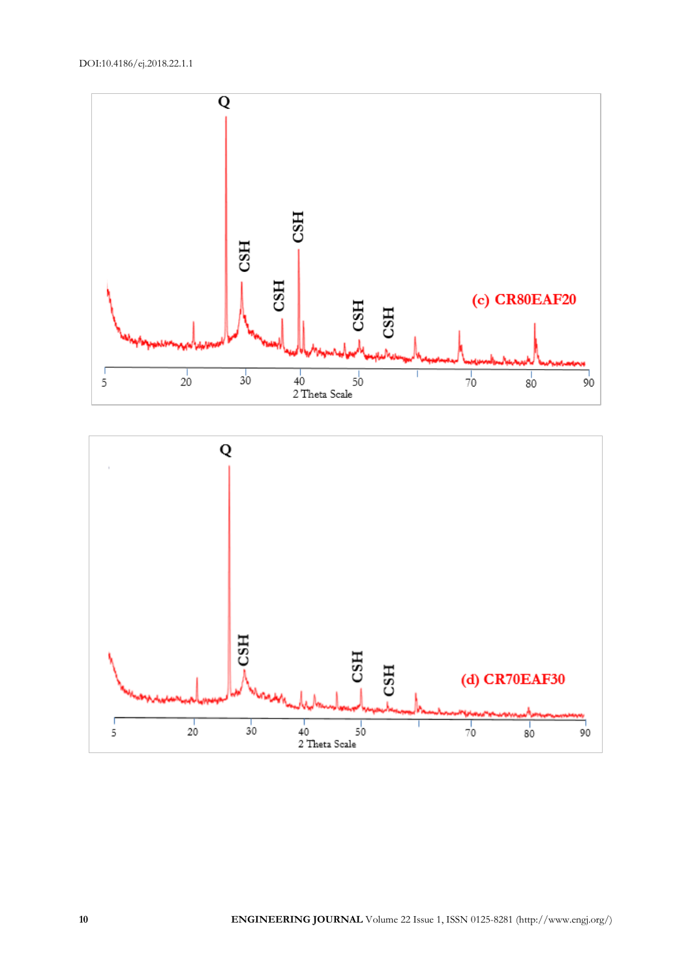



**10 ENGINEERING JOURNAL** Volume 22 Issue 1, ISSN 0125-8281 (http://www.engj.org/)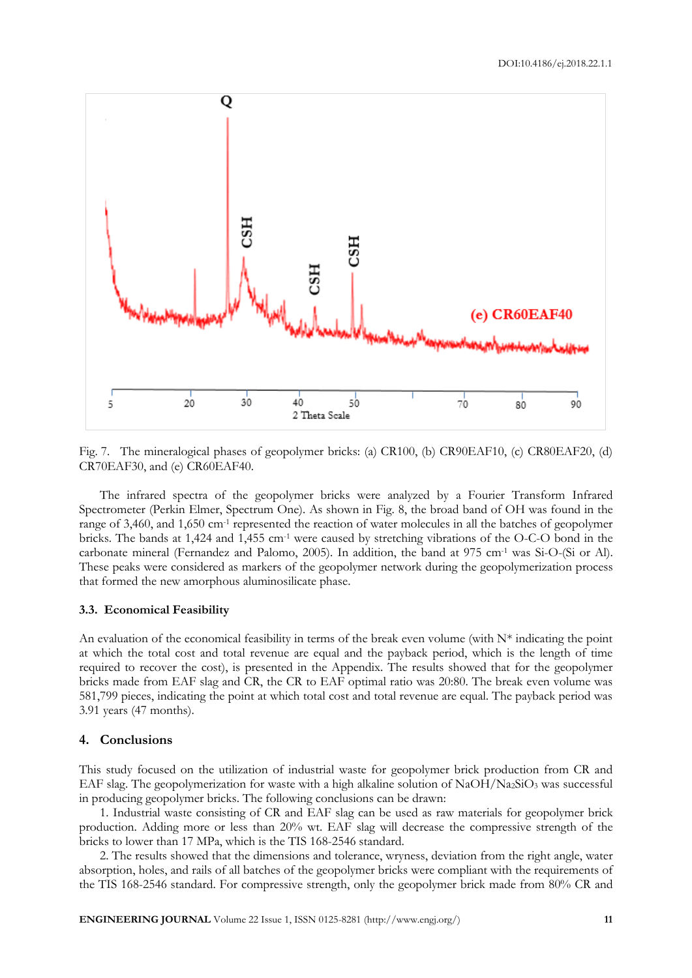

Fig. 7. The mineralogical phases of geopolymer bricks: (a) CR100, (b) CR90EAF10, (c) CR80EAF20, (d) CR70EAF30, and (e) CR60EAF40.

The infrared spectra of the geopolymer bricks were analyzed by a Fourier Transform Infrared Spectrometer (Perkin Elmer, Spectrum One). As shown in Fig. 8, the broad band of OH was found in the range of 3,460, and 1,650 cm-1 represented the reaction of water molecules in all the batches of geopolymer bricks. The bands at 1,424 and 1,455 cm<sup>-1</sup> were caused by stretching vibrations of the O-C-O bond in the carbonate mineral (Fernandez and Palomo, 2005). In addition, the band at 975 cm-1 was Si-O-(Si or Al). These peaks were considered as markers of the geopolymer network during the geopolymerization process that formed the new amorphous aluminosilicate phase.

#### **3.3. Economical Feasibility**

An evaluation of the economical feasibility in terms of the break even volume (with  $N^*$  indicating the point at which the total cost and total revenue are equal and the payback period, which is the length of time required to recover the cost), is presented in the Appendix. The results showed that for the geopolymer bricks made from EAF slag and CR, the CR to EAF optimal ratio was 20:80. The break even volume was 581,799 pieces, indicating the point at which total cost and total revenue are equal. The payback period was 3.91 years (47 months).

#### **4. Conclusions**

This study focused on the utilization of industrial waste for geopolymer brick production from CR and EAF slag. The geopolymerization for waste with a high alkaline solution of  $NaOH/Na_2SiO_3$  was successful in producing geopolymer bricks. The following conclusions can be drawn:

1. Industrial waste consisting of CR and EAF slag can be used as raw materials for geopolymer brick production. Adding more or less than 20% wt. EAF slag will decrease the compressive strength of the bricks to lower than 17 MPa, which is the TIS 168-2546 standard.

2. The results showed that the dimensions and tolerance, wryness, deviation from the right angle, water absorption, holes, and rails of all batches of the geopolymer bricks were compliant with the requirements of the TIS 168-2546 standard. For compressive strength, only the geopolymer brick made from 80% CR and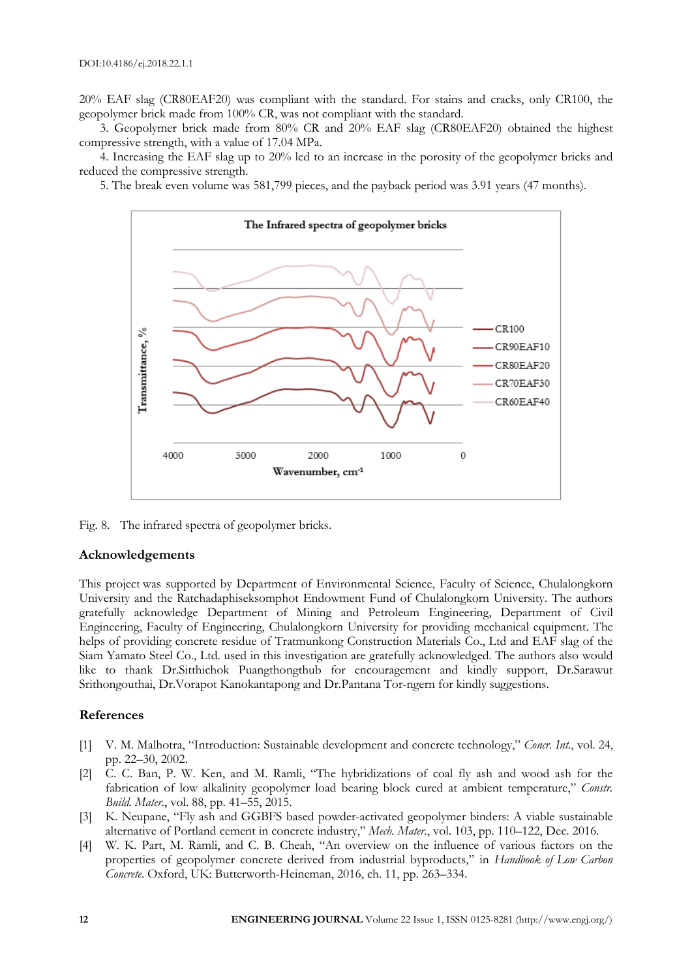20% EAF slag (CR80EAF20) was compliant with the standard. For stains and cracks, only CR100, the geopolymer brick made from 100% CR, was not compliant with the standard.

3. Geopolymer brick made from 80% CR and 20% EAF slag (CR80EAF20) obtained the highest compressive strength, with a value of 17.04 MPa.

4. Increasing the EAF slag up to 20% led to an increase in the porosity of the geopolymer bricks and reduced the compressive strength.

5. The break even volume was 581,799 pieces, and the payback period was 3.91 years (47 months).



Fig. 8. The infrared spectra of geopolymer bricks.

### **Acknowledgements**

This project was supported by Department of Environmental Science, Faculty of Science, Chulalongkorn University and the Ratchadaphiseksomphot Endowment Fund of Chulalongkorn University. The authors gratefully acknowledge Department of Mining and Petroleum Engineering, Department of Civil Engineering, Faculty of Engineering, Chulalongkorn University for providing mechanical equipment. The helps of providing concrete residue of Tratmunkong Construction Materials Co., Ltd and EAF slag of the Siam Yamato Steel Co., Ltd. used in this investigation are gratefully acknowledged. The authors also would like to thank Dr.Sitthichok Puangthongthub for encouragement and kindly support, Dr.Sarawut Srithongouthai, Dr.Vorapot Kanokantapong and Dr.Pantana Tor-ngern for kindly suggestions.

#### **References**

- [1] V. M. Malhotra, "Introduction: Sustainable development and concrete technology," *Concr. Int.*, vol. 24, pp. 22–30, 2002.
- [2] C. C. Ban, P. W. Ken, and M. Ramli, "The hybridizations of coal fly ash and wood ash for the fabrication of low alkalinity geopolymer load bearing block cured at ambient temperature," *Constr. Build. Mater.*, vol. 88, pp. 41–55, 2015.
- [3] K. Neupane, "Fly ash and GGBFS based [powder-activated](https://vpn.chula.ac.th/+CSCO+1h756767633A2F2F6A6A6A2E667076726170727176657270672E70627A++/science/article/pii/S0167663616303386) geopolymer binders: A viable sustainable [alternative](https://vpn.chula.ac.th/+CSCO+1h756767633A2F2F6A6A6A2E667076726170727176657270672E70627A++/science/article/pii/S0167663616303386) of Portland cement in concrete industry," *Mech. Mater.*, vol. 103, pp. 110–122, Dec. 2016.
- [4] W. K. Part, M. Ramli, and C. B. Cheah, "An overview on the influence of various factors on the properties of geopolymer concrete derived from industrial byproducts," in *Handbook of Low Carbon Concrete*. Oxford, UK: Butterworth-Heineman, 2016, ch. 11, pp. 263–334.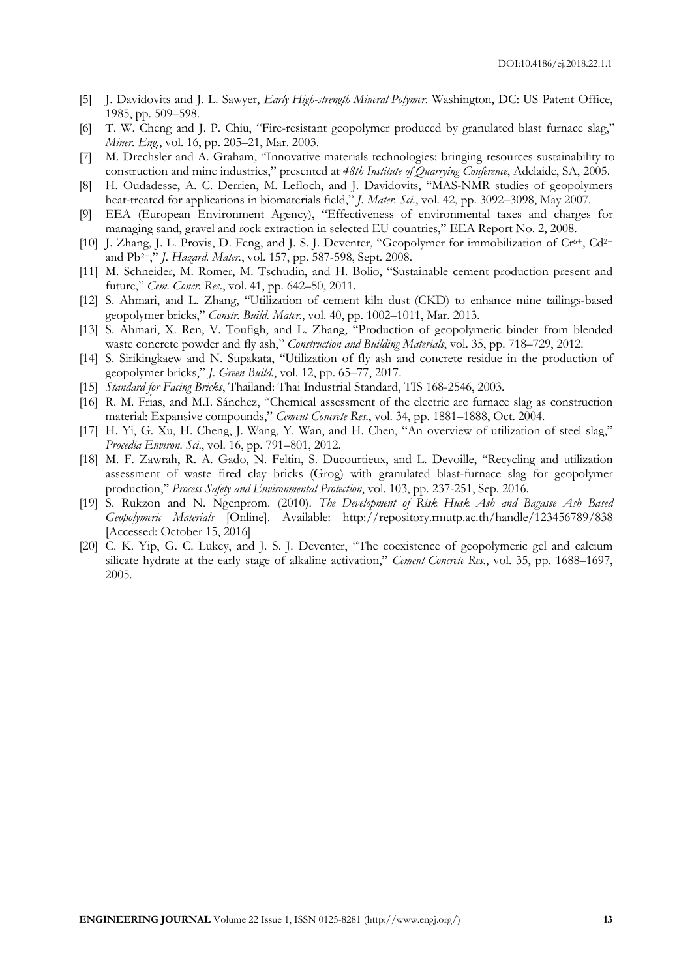- [5] J. Davidovits and J. L. Sawyer, *Early High-strength Mineral Polymer*. Washington, DC: US Patent Office, 1985, pp. 509–598.
- [6] T. W. Cheng and J. P. Chiu, "Fire-resistant geopolymer produced by granulated blast furnace slag," *Miner. Eng.*, vol. 16, pp. 205–21, Mar. 2003.
- [7] M. Drechsler and A. Graham, "Innovative materials technologies: bringing resources sustainability to construction and mine industries," presented at *48th Institute of Quarrying Conference*, Adelaide, SA, 2005.
- [8] H. Oudadesse, A. C. Derrien, M. Lefloch, and J. Davidovits, "MAS-NMR studies of geopolymers heat-treated for applications in biomaterials field," *J. [Mater.](https://vpn.chula.ac.th/+CSCO+0h75676763663A2F2F6A6A6A2E6670626368662E70627A++/sourceid/21162?origin=recordpage) Sci.*, vol. 42, pp. 3092–3098, May 2007.
- [9] EEA (European Environment Agency), "Effectiveness of environmental taxes and charges for managing sand, gravel and rock extraction in selected EU countries," EEA Report No. 2, 2008.
- [10] J. Zhang, J. L. Provis, D. Feng, and J. S. J. Deventer, "Geopolymer for immobilization of  $Cr^{6+}$ ,  $Cd^{2+}$ and Pb2+," *J. Hazard. Mater.*, vol. 157, pp. 587-598, Sept. 2008.
- [11] M. Schneider, M. Romer, M. Tschudin, and H. Bolio, "Sustainable cement production present and future," *Cem. Concr. Res*., vol. 41, pp. 642–50, 2011.
- [12] S. Ahmari, and L. Zhang, "Utilization of cement kiln dust (CKD) to enhance mine [tailings-based](https://vpn.chula.ac.th/+CSCO+1h756767633A2F2F6A6A6A2E667076726170727176657270672E70627A++/science/article/pii/S0950061812009051) [geopolymer](https://vpn.chula.ac.th/+CSCO+1h756767633A2F2F6A6A6A2E667076726170727176657270672E70627A++/science/article/pii/S0950061812009051) bricks," *Constr. Build. Mater.*, vol. 40, pp. 1002–1011, Mar. 2013.
- [13] S. Ahmari, X. Ren, V. Toufigh, and L. Zhang, "Production of geopolymeric binder from blended waste concrete powder and fly ash," *Construction and Building Materials*, vol. 35, pp. 718–729, 2012.
- [14] S. Sirikingkaew and N. Supakata, "Utilization of fly ash and concrete residue in the production of geopolymer bricks," *J. Green Build.*, vol. 12, pp. 65–77, 2017.
- [15] *Standard for Facing Bricks*, Thailand: Thai Industrial Standard, TIS 168-2546, 2003.
- [16] R. M. [Frı](https://vpn.chula.ac.th/+CSCO+00756767633A2F2F6A6A6A2E667076726170727176657270672E70627A++/science/article/pii/S0008884604000663)́as, and M.I. [Sánchez,](https://vpn.chula.ac.th/+CSCO+00756767633A2F2F6A6A6A2E667076726170727176657270672E70627A++/science/article/pii/S0008884604000663) "Chemical assessment of the electric arc furnace slag as construction material: Expansive compounds," *Cement Concrete Res.*, vol. 34, pp. 1881–1888, Oct. 2004.
- [17] H. Yi, G. Xu, H. Cheng, J. Wang, Y. Wan, and H. Chen, "An overview of utilization of steel slag," *Procedia Environ. Sci*., vol. 16, pp. 791–801, 2012.
- [18] M. F. Zawrah, R. A. Gado, N. Feltin, S. Ducourtieux, and L. Devoille, "Recycling and utilization assessment of waste fired clay bricks (Grog) with granulated blast-furnace slag for geopolymer production," *Process Safety and Environmental Protection*, vol. 103, pp. 237-251, Sep. 2016.
- [19] S. Rukzon and N. Ngenprom. (2010). *The Development of Risk Husk Ash and Bagasse Ash Based Geopolymeric Materials* [Online]. Available: http://repository.rmutp.ac.th/handle/123456789/838 [Accessed: October 15, 2016]
- [20] C. K. Yip, G. C. Lukey, and J. S. J. Deventer, "The coexistence of geopolymeric gel and calcium silicate hydrate at the early stage of alkaline activation," *Cement Concrete Res.*, vol. 35, pp. 1688–1697, 2005.